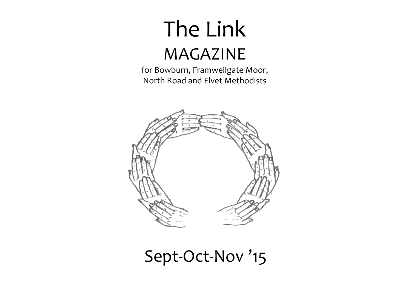# The Link MAGAZINE

for Bowburn, Framwellgate Moor, North Road and Elvet Methodists



# Sept-Oct-Nov '15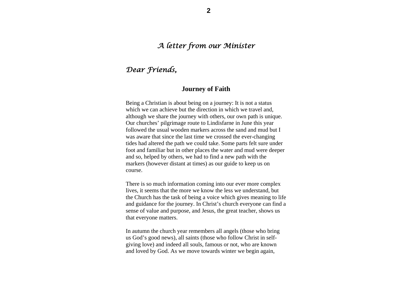# *A letter from our Minister*

# *Dear Friends,*

#### **Journey of Faith**

Being a Christian is about being on a journey: It is not a status which we can achieve but the direction in which we travel and, although we share the journey with others, our own path is unique. Our churches' pilgrimage route to Lindisfarne in June this year followed the usual wooden markers across the sand and mud but I was aware that since the last time we crossed the ever-changing tides had altered the path we could take. Some parts felt sure under foot and familiar but in other places the water and mud were deeper and so, helped by others, we had to find a new path with the markers (however distant at times) as our guide to keep us on course.

There is so much information coming into our ever more complex lives, it seems that the more we know the less we understand, but the Church has the task of being a voice which gives meaning to life and guidance for the journey. In Christ's church everyone can find a sense of value and purpose, and Jesus, the great teacher, shows us that everyone matters.

In autumn the church year remembers all angels (those who bring us God's good news), all saints (those who follow Christ in selfgiving love) and indeed all souls, famous or not, who are known and loved by God. As we move towards winter we begin again,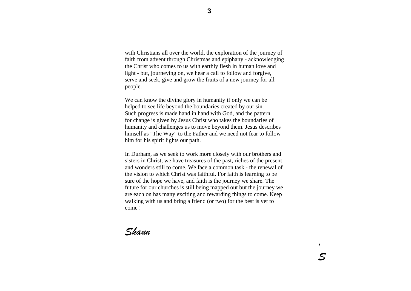with Christians all over the world, the exploration of the journey of faith from advent through Christmas and epiphany - acknowledging the Christ who comes to us with earthly flesh in human love and light - but, journeying on, we hear a call to follow and forgive, serve and seek, give and grow the fruits of a new journey for all people.

We can know the divine glory in humanity if only we can be helped to see life beyond the boundaries created by our sin. Such progress is made hand in hand with God, and the pattern for change is given by Jesus Christ who takes the boundaries of humanity and challenges us to move beyond them. Jesus describes himself as "The Way" to the Father and we need not fear to follow him for his spirit lights our path.

In Durham, as we seek to work more closely with our brothers and sisters in Christ, we have treasures of the past, riches of the present and wonders still to come. We face a common task - the renewal of the vision to which Christ was faithful. For faith is learning to be sure of the hope we have, and faith is the journey we share. The future for our churches is still being mapped out but the journey we are each on has many exciting and rewarding things to come. Keep walking with us and bring a friend (or two) for the best is yet to come !

*Shaun*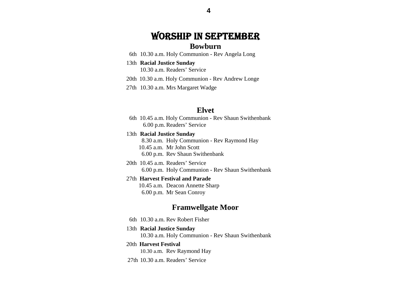# WORSHIP IN SEPTEMBER **Bowburn**

- 6th 10.30 a.m. Holy Communion Rev Angela Long
- 13th **Racial Justice Sunday**  10.30 a.m. Readers' Service
- 20th 10.30 a.m. Holy Communion Rev Andrew Longe
- 27th 10.30 a.m. Mrs Margaret Wadge

#### **Elvet**

- 6th 10.45 a.m. Holy Communion Rev Shaun Swithenbank 6.00 p.m. Readers' Service
- 13th **Racial Justice Sunday**

8.30 a.m. Holy Communion - Rev Raymond Hay 10.45 a.m. Mr John Scott 6.00 p.m. Rev Shaun Swithenbank

 20th 10.45 a.m. Readers' Service6.00 p.m. Holy Communion - Rev Shaun Swithenbank

#### 27th **Harvest Festival and Parade**

10.45 a.m. Deacon Annette Sharp 6.00 p.m. Mr Sean Conroy

# **Framwellgate Moor**

- 6th 10.30 a.m. Rev Robert Fisher
- 13th **Racial Justice Sunday**  10.30 a.m. Holy Communion - Rev Shaun Swithenbank

#### 20th **Harvest Festival**  10.30 a.m. Rev Raymond Hay

27th 10.30 a.m. Readers' Service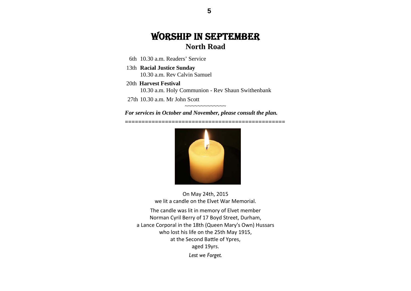# WORSHIP IN SEPTEMBER **North Road**

6th 10.30 a.m. Readers' Service

- 13th **Racial Justice Sunday**  10.30 a.m. Rev Calvin Samuel
- 20th **Harvest Festival**

10.30 a.m. Holy Communion - Rev Shaun Swithenbank

27th 10.30 a.m. Mr John Scott

*For services in October and November, please consult the plan.* 

*================================================* 

 $\sim\sim\sim\sim\sim\sim\sim\sim\sim\sim\sim\sim$ 



On May 24th, 2015 we lit <sup>a</sup> candle on the Elvet War Memorial.

The candle was lit in memory of Elvet member Norman Cyril Berry of 17 Boyd Street, Durham, a Lance Corporal in the 18th (Queen Mary's Own) Hussars who lost his life on the 25th May 1915, at the Second Battle of Ypres, aged 19yrs. *Lest we Forget.*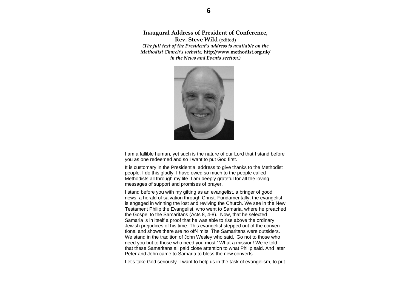**Inaugural Address of President of Conference, Rev. Steve Wild** (edited)

*(The full text of the President's address is available on the Methodist Church's website,* **http://www.methodist.org.uk/**  *in the News and Events section.)* 



I am a fallible human, yet such is the nature of our Lord that I stand before you as one redeemed and so I want to put God first.

It is customary in the Presidential address to give thanks to the Methodist people. I do this gladly. I have owed so much to the people called Methodists all through my life. I am deeply grateful for all the loving messages of support and promises of prayer.

I stand before you with my gifting as an evangelist, a bringer of good news, a herald of salvation through Christ. Fundamentally, the evangelist is engaged in winning the lost and reviving the Church. We see in the New Testament Philip the Evangelist, who went to Samaria, where he preached the Gospel to the Samaritans (Acts 8, 4-8). Now, that he selected Samaria is in itself a proof that he was able to rise above the ordinary Jewish prejudices of his time. This evangelist stepped out of the conventional and shows there are no off-limits. The Samaritans were outsiders. We stand in the tradition of John Wesley who said, 'Go not to those who need you but to those who need you most.' What a mission! We're told that these Samaritans all paid close attention to what Philip said. And later Peter and John came to Samaria to bless the new converts.

Let's take God seriously. I want to help us in the task of evangelism, to put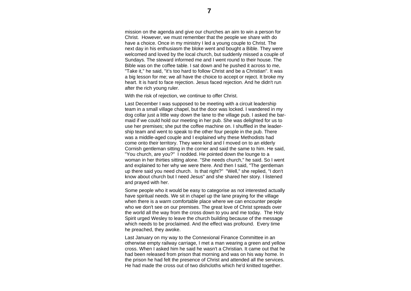mission on the agenda and give our churches an aim to win a person for Christ. However, we must remember that the people we share with do have a choice. Once in my ministry I led a young couple to Christ. The next day in his enthusiasm the bloke went and bought a Bible. They were welcomed and loved by the local church, but suddenly missed a couple of Sundays. The steward informed me and I went round to their house. The Bible was on the coffee table. I sat down and he pushed it across to me, "Take it," he said, "it's too hard to follow Christ and be a Christian". It was a big lesson for me; we all have the choice to accept or reject. It broke my heart. It is hard to face rejection. Jesus faced rejection. And he didn't run after the rich young ruler.

With the risk of rejection, we continue to offer Christ.

Last December I was supposed to be meeting with a circuit leadership team in a small village chapel, but the door was locked. I wandered in my dog collar just a little way down the lane to the village pub. I asked the barmaid if we could hold our meeting in her pub. She was delighted for us to use her premises; she put the coffee machine on. I shuffled in the leadership team and went to speak to the other four people in the pub. There was a middle-aged couple and I explained why these Methodists had come onto their territory. They were kind and I moved on to an elderly Cornish gentleman sitting in the corner and said the same to him. He said, "You church, are you?" I nodded. He pointed down the lounge to a woman in her thirties sitting alone. "She needs church," he said. So I went and explained to her why we were there. And then I said, "The gentleman up there said you need church. Is that right?" "Well," she replied, "I don't know about church but I need Jesus" and she shared her story. I listened and prayed with her.

Some people who it would be easy to categorise as not interested actually have spiritual needs. We sit in chapel up the lane praying for the village when there is a warm comfortable place where we can encounter people who we don't see on our premises. The great love of Christ spreads over the world all the way from the cross down to you and me today. The Holy Spirit urged Wesley to leave the church building because of the message which needs to be proclaimed. And the effect was profound. Every time he preached, they awoke.

Last January on my way to the Connexional Finance Committee in an otherwise empty railway carriage, I met a man wearing a green and yellow cross. When I asked him he said he wasn't a Christian. It came out that he had been released from prison that morning and was on his way home. In the prison he had felt the presence of Christ and attended all the services. He had made the cross out of two dishcloths which he'd knitted together.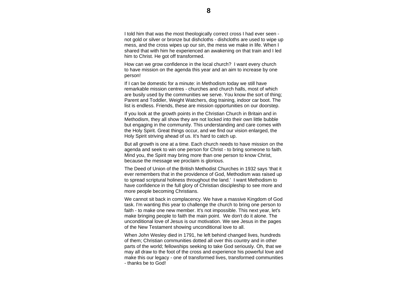I told him that was the most theologically correct cross I had ever seen not gold or silver or bronze but dishcloths - dishcloths are used to wipe up mess, and the cross wipes up our sin, the mess we make in life. When I shared that with him he experienced an awakening on that train and I led him to Christ. He got off transformed.

How can we grow confidence in the local church? I want every church to have mission on the agenda this year and an aim to increase by one person!

If I can be domestic for a minute: in Methodism today we still have remarkable mission centres - churches and church halls, most of which are busily used by the communities we serve. You know the sort of thing; Parent and Toddler, Weight Watchers, dog training, indoor car boot. The list is endless. Friends, these are mission opportunities on our doorstep.

If you look at the growth points in the Christian Church in Britain and in Methodism, they all show they are not locked into their own little bubble but engaging in the community. This understanding and care comes with the Holy Spirit. Great things occur, and we find our vision enlarged, the Holy Spirit striving ahead of us. It's hard to catch up.

But all growth is one at a time. Each church needs to have mission on the agenda and seek to win one person for Christ - to bring someone to faith. Mind you, the Spirit may bring more than one person to know Christ, because the message we proclaim is glorious.

The Deed of Union of the British Methodist Churches in 1932 says 'that it ever remembers that in the providence of God, Methodism was raised up to spread scriptural holiness throughout the land.' I want Methodism to have confidence in the full glory of Christian discipleship to see more and more people becoming Christians.

We cannot sit back in complacency. We have a massive Kingdom of God task. I'm wanting this year to challenge the church to bring one person to faith - to make one new member. It's not impossible. This next year, let's make bringing people to faith the main point. We don't do it alone. The unconditional love of Jesus is our motivation. We see Jesus in the pages of the New Testament showing unconditional love to all.

When John Wesley died in 1791, he left behind changed lives, hundreds of them; Christian communities dotted all over this country and in other parts of the world; fellowships seeking to take God seriously. Oh, that we may all draw to the foot of the cross and experience his powerful love and make this our legacy - one of transformed lives, transformed communities - thanks be to God!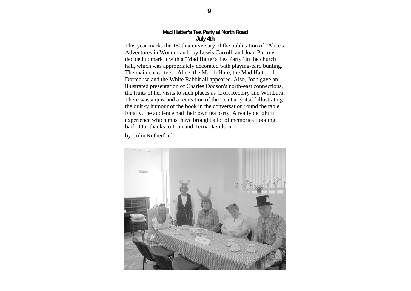#### **Mad Hatter's Tea Party at North Road July 4th**

This year marks the 150th anniversary of the publication of "Alice's Adventures in Wonderland" by Lewis Carroll, and Joan Portrey decided to mark it with a "Mad Hatter's Tea Party" in the church hall, which was appropriately decorated with playing-card bunting. The main characters - Alice, the March Hare, the Mad Hatter, the Dormouse and the White Rabbit all appeared. Also, Joan gave an illustrated presentation of Charles Dodson's north-east connections, the fruits of her visits to such places as Croft Rectory and Whitburn. There was a quiz and a recreation of the Tea Party itself illustrating the quirky humour of the book in the conversation round the table. Finally, the audience had their own tea party. A really delightful experience which must have brought a lot of memories flooding back. Our thanks to Joan and Terry Davidson.

by Colin Rutherford

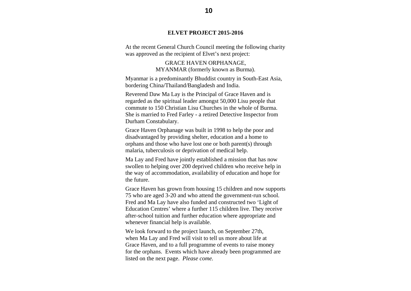#### **ELVET PROJECT 2015-2016**

At the recent General Church Council meeting the following charity was approved as the recipient of Elvet's next project:

> GRACE HAVEN ORPHANAGE, MYANMAR (formerly known as Burma).

Myanmar is a predominantly Bhuddist country in South-East Asia, bordering China/Thailand/Bangladesh and India.

Reverend Daw Ma Lay is the Principal of Grace Haven and is regarded as the spiritual leader amongst 50,000 Lisu people that commute to 150 Christian Lisu Churches in the whole of Burma. She is married to Fred Farley - a retired Detective Inspector from Durham Constabulary.

Grace Haven Orphanage was built in 1998 to help the poor and disadvantaged by providing shelter, education and a home to orphans and those who have lost one or both parent(s) through malaria, tuberculosis or deprivation of medical help.

Ma Lay and Fred have jointly established a mission that has now swollen to helping over 200 deprived children who receive help in the way of accommodation, availability of education and hope for the future.

Grace Haven has grown from housing 15 children and now supports 75 who are aged 3-20 and who attend the government-run school. Fred and Ma Lay have also funded and constructed two 'Light of Education Centres' where a further 115 children live. They receive after-school tuition and further education where appropriate and whenever financial help is available.

We look forward to the project launch, on September 27th, when Ma Lay and Fred will visit to tell us more about life at Grace Haven, and to a full programme of events to raise money for the orphans. Events which have already been programmed are listed on the next page. *Please come.*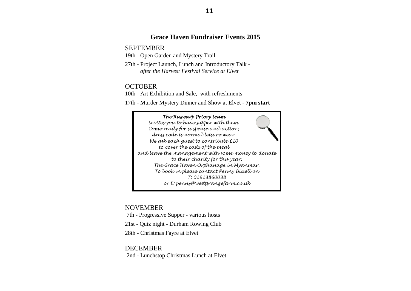#### **Grace Haven Fundraiser Events 2015**

SEPTEMBER

- 19th Open Garden and Mystery Trail
- 27th Project Launch, Lunch and Introductory Talk *after the Harvest Festival Service at Elvet*

#### **OCTOBER**

10th - Art Exhibition and Sale, with refreshments

17th - Murder Mystery Dinner and Show at Elvet - **7pm start** 

#### *The Ruswarp Priory team invites you to have supper with them. Come ready for suspense and action, dress code is normal leisure wear. We ask each guest to contribute £10 to cover the costs of the meal and leave the management with some money to donate to their charity for this year: The Grace Haven Orphanage in Myanmar. To book in please contact Penny Bissell on T: 01913860038*

*or E: penny@westgrangefarm.co.uk* 

# NOVEMBER

7th - Progressive Supper - various hosts

21st - Quiz night - Durham Rowing Club

28th - Christmas Fayre at Elvet

#### **DECEMBER**

2nd - Lunchstop Christmas Lunch at Elvet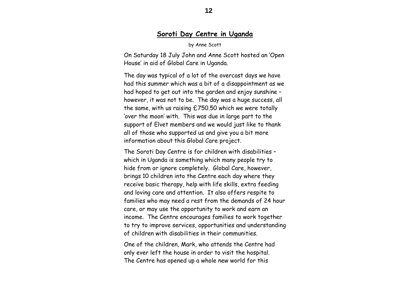# **Soroti Day Centre in Uganda**

by Anne Scott

On Saturday 18 July John and Anne Scott hosted an 'Open House' in aid of Global Care in Uganda.

The day was typical of a lot of the overcast days we have had this summer which was a bit of a disappointment as we had hoped to get out into the garden and enjoy sunshine – however, it was not to be. The day was a huge success, all the same, with us raising £750.50 which we were totally 'over the moon' with. This was due in large part to the support of Elvet members and we would just like to thank all of those who supported us and give you a bit more information about this Global Care project.

The Soroti Day Centre is for children with disabilities – which in Uganda is something which many people try to hide from or ignore completely. Global Care, however, brings 10 children into the Centre each day where they receive basic therapy, help with life skills, extra feeding and loving care and attention. It also offers respite to families who may need a rest from the demands of 24 hour care, or may use the opportunity to work and earn an income. The Centre encourages families to work together to try to improve services, opportunities and understanding of children with disabilities in their communities.

One of the children, Mark, who attends the Centre had only ever left the house in order to visit the hospital. The Centre has opened up a whole new world for this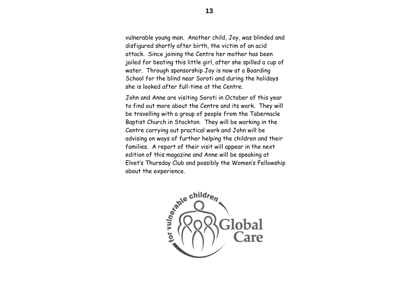vulnerable young man. Another child, Joy, was blinded and disfigured shortly after birth, the victim of an acid attack. Since joining the Centre her mother has been jailed for beating this little girl, after she spilled a cup of water. Through sponsorship Joy is now at a Boarding School for the blind near Soroti and during the holidays she is looked after full-time at the Centre.

John and Anne are visiting Soroti in October of this year to find out more about the Centre and its work. They will be travelling with a group of people from the Tabernacle Baptist Church in Stockton. They will be working in the Centre carrying out practical work and John will be advising on ways of further helping the children and their families. A report of their visit will appear in the next edition of this magazine and Anne will be speaking at Elvet's Thursday Club and possibly the Women's Fellowship about the experience.

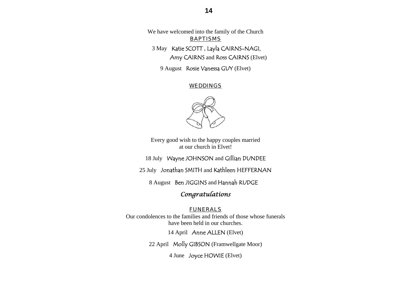We have welcomed into the family of the Church *BAPTISMS* 

3 May Katie SCOTT , Layla CAIRNS-NAGI, Amy CAIRNS and Ross CAIRNS (Elvet)

9 August Rosie Vanessa GUY (Elvet)

#### *WEDDINGS*



Every good wish to the happy couples married at our church in Elvet!

18 July Wayne JOHNSON and Gillian DUNDEE

25 July Jonathan SMITH and Kathleen HEFFERNAN

8 August Ben JIGGINS and Hannah RUDGE

# *Congratulations*

#### *FUNERALS*

Our condolences to the families and friends of those whose funerals have been held in our churches.

14 April Anne ALLEN (Elvet)

22 April Molly GIBSON (Framwellgate Moor)

4 June Joyce HOWIE (Elvet)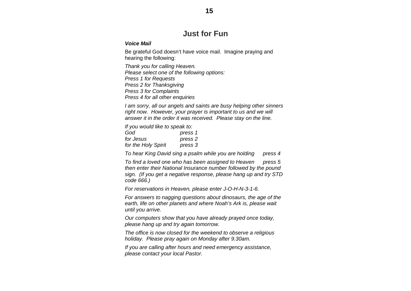# **Just for Fun**

#### *Voice Mail*

Be grateful God doesn't have voice mail. Imagine praying and hearing the following:

*Thank you for calling Heaven. Please select one of the following options: Press 1 for Requests Press 2 for Thanksgiving Press 3 for Complaints Press 4 for all other enquiries* 

*I am sorry, all our angels and saints are busy helping other sinners*  right now. However, your prayer is important to us and we will *answer it in the order it was received. Please stay on the line.* 

*If you would like to speak to:* 

| God                 | press 1            |
|---------------------|--------------------|
| for Jesus           | press <sub>2</sub> |
| for the Holy Spirit | press 3            |

*To hear King David sing a psalm while you are holding press 4* 

*To find a loved one who has been assigned to Heaven press 5 then enter their National Insurance number followed by the pound sign. (If you get a negative response, please hang up and try STD code 666.)* 

*For reservations in Heaven, please enter J-O-H-N-3-1-6.* 

*For answers to nagging questions about dinosaurs, the age of the earth, life on other planets and where Noah's Ark is, please wait until you arrive.* 

*Our computers show that you have already prayed once today, please hang up and try again tomorrow.* 

*The office is now closed for the weekend to observe a religious holiday. Please pray again on Monday after 9.30am.* 

*If you are calling after hours and need emergency assistance, please contact your local Pastor.*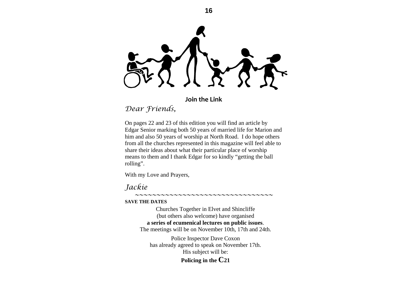**Join the Link**

*Dear Friends,*

On pages 22 and 23 of this edition you will find an article by Edgar Senior marking both 50 years of married life for Marion and him and also 50 years of worship at North Road. I do hope others from all the churches represented in this magazine will feel able to share their ideas about what their particular place of worship means to them and I thank Edgar for so kindly "getting the ball rolling".

With my Love and Prayers,

*Jackie* 

**SAVE THE DATES** 

Churches Together in Elvet and Shincliffe (but others also welcome) have organised **a series of ecumenical lectures on public issues**. The meetings will be on November 10th, 17th and 24th.

*~~~~~~~~~~~~~~~~~~~~~~~~~~~~~~~~*

Police Inspector Dave Coxon has already agreed to speak on November 17th. His subject will be:

#### **Policing in the C21**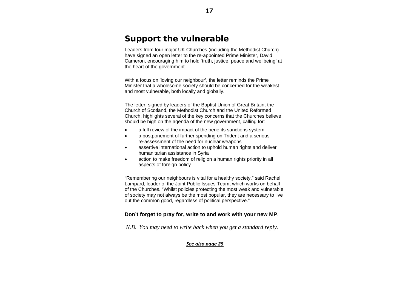# **Support the vulnerable**

Leaders from four major UK Churches (including the Methodist Church) have signed an open letter to the re-appointed Prime Minister, David Cameron, encouraging him to hold 'truth, justice, peace and wellbeing' at the heart of the government.

With a focus on 'loving our neighbour', the letter reminds the Prime Minister that a wholesome society should be concerned for the weakest and most vulnerable, both locally and globally.

The letter, signed by leaders of the Baptist Union of Great Britain, the Church of Scotland, the Methodist Church and the United Reformed Church, highlights several of the key concerns that the Churches believe should be high on the agenda of the new government, calling for:

- $\bullet$ a full review of the impact of the benefits sanctions system
- $\bullet$  a postponement of further spending on Trident and a serious re-assessment of the need for nuclear weapons
- $\bullet$  assertive international action to uphold human rights and deliver humanitarian assistance in Syria
- $\bullet$  action to make freedom of religion a human rights priority in all aspects of foreign policy.

"Remembering our neighbours is vital for a healthy society," said Rachel Lampard, leader of the Joint Public Issues Team, which works on behalf of the Churches. "Whilst policies protecting the most weak and vulnerable of society may not always be the most popular, they are necessary to live out the common good, regardless of political perspective."

#### **Don't forget to pray for, write to and work with your new MP**.

*N.B. You may need to write back when you get a standard reply.* 

#### *See also page 25*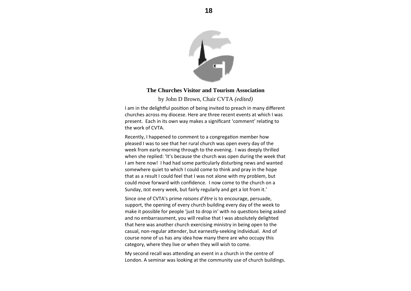

#### **The Churches Visitor and Tourism Association**

by John D Brown, Chair CVTA *(edited)* 

II am in the delightful position of being invited to preach in many different churches across my diocese. Here are three recent events at which I was present. Each in its own way makes a significant 'comment' relating to the work of CVTA.

Recently, I happened to comment to a congregation member how pleased I was to see that her rural church was open every day of the week from early morning through to the evening. I was deeply thrilled when she replied: 'It's because the church was open during the week that I am here now! I had had some particularly disturbing news and wanted somewhere quiet to which I could come to think and pray in the hope that as a result I could feel that I was not alone with my problem, but could move forward with confidence. I now come to the church on <sup>a</sup> Sunday, not every week, but fairly regularly and get <sup>a</sup> lot from it.'

Since one of CVTA's prime *raisons d'être* is to encourage, persuade, support, the opening of every church building every day of the week to make it possible for people 'just to drop in' with no questions being asked and no embarrassment, you will realise that I was absolutely delighted that here was another church exercising ministry in being open to the casual, non-regular attender, but earnestly-seeking individual. And of course none of us has any idea how many there are who occupy this category, where they live or when they will wish to come.

My second recall was attending an event in a church in the centre of London. A seminar was looking at the community use of church buildings.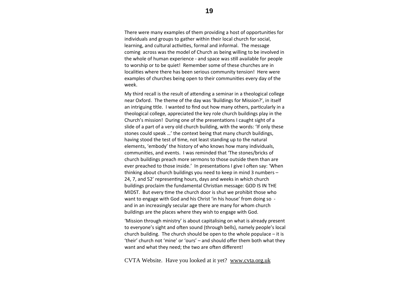There were many examples of them providing a host of opportunities for individuals and groups to gather within their local church for social, learning, and cultural activities, formal and informal. The message coming across was the model of Church as being willing to be involved in the whole of human experience - and space was still available for people to worship or to be quiet! Remember some of these churches are in localities where there has been serious community tension! Here were examples of churches being open to their communities every day of the week.

My third recall is the result of attending a seminar in a theological college near Oxford. The theme of the day was 'Buildings for Mission?', in itself an intriguing title. I wanted to find out how many others, particularly in a theological college, appreciated the key role church buildings play in the Church's mission! During one of the presentations I caught sight of a slide of <sup>a</sup> part of <sup>a</sup> very old church building, with the words: 'If only these stones could speak …' the context being that many church buildings, having stood the test of time, not least standing up to the natural elements, 'embody' the history of who knows how many individuals, communiƟes, and events. I was reminded that 'The stones/bricks of church buildings preach more sermons to those outside them than are ever preached to those inside.' In presentations I give I often say: 'When thinking about church buildings you need to keep in mind 3 numbers – 24, 7, and 52' representing hours, days and weeks in which church buildings proclaim the fundamental Christian message: GOD IS IN THE MIDST. But every time the church door is shut we prohibit those who want to engage with God and his Christ 'in his house' from doing so ‐ and in an increasingly secular age there are many for whom church buildings are the places where they wish to engage with God.

'Mission through ministry' is about capitalising on what is already present to everyone's sight and often sound (through bells), namely people's local church building. The church should be open to the whole populace – it is 'their' church not 'mine' or 'ours' – and should <sup>o</sup>ffer them both what they want and what they need; the two are often different!

CVTA Website. Have you looked at it yet? www.cvta.org.uk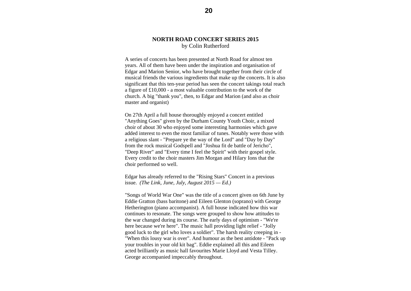#### **NORTH ROAD CONCERT SERIES 2015** by Colin Rutherford

A series of concerts has been presented at North Road for almost ten years. All of them have been under the inspiration and organisation of Edgar and Marion Senior, who have brought together from their circle of musical friends the various ingredients that make up the concerts. It is also significant that this ten-year period has seen the concert takings total reach a figure of £10,000 - a most valuable contribution to the work of the church. A big "thank you", then, to Edgar and Marion (and also as choir master and organist)

On 27th April a full house thoroughly enjoyed a concert entitled "Anything Goes" given by the Durham County Youth Choir, a mixed choir of about 30 who enjoyed some interesting harmonies which gave added interest to even the most familiar of tunes. Notably were those with a religious slant - "Prepare ye the way of the Lord" and "Day by Day" from the rock musical Godspell and "Joshua fit de battle of Jericho", "Deep River" and "Every time I feel the Spirit" with their gospel style. Every credit to the choir masters Jim Morgan and Hilary Ions that the choir performed so well.

Edgar has already referred to the "Rising Stars" Concert in a previous issue. *(The Link, June, July, August 2015 — Ed.)* 

"Songs of World War One" was the title of a concert given on 6th June by Eddie Gratton (bass baritone) and Eileen Glenton (soprano) with George Hetherington (piano accompanist). A full house indicated how this war continues to resonate. The songs were grouped to show how attitudes to the war changed during its course. The early days of optimism - "We're here because we're here". The music hall providing light relief - "Jolly good luck to the girl who loves a soldier". The harsh reality creeping in - "When this lousy war is over". And humour as the best antidote - "Pack up your troubles in your old kit bag". Eddie explained all this and Eileen acted brilliantly as music hall favourites Marie Lloyd and Vesta Tilley. George accompanied impeccably throughout.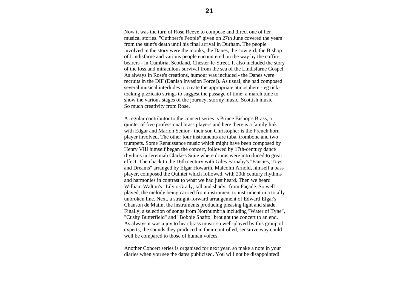Now it was the turn of Rose Reeve to compose and direct one of her musical stories. "Cuthbert's People" given on 27th June covered the years from the saint's death until his final arrival in Durham. The people involved in the story were the monks, the Danes, the cow girl, the Bishop of Lindisfarne and various people encountered on the way by the coffinbearers - in Cumbria, Scotland, Chester-le-Street. It also included the story of the loss and miraculous survival from the sea of the Lindisfarne Gospel. As always in Rose's creations, humour was included - the Danes were recruits in the DIF (Danish Invasion Force!). As usual, she had composed several musical interludes to create the appropriate atmosphere - eg ticktocking pizzicato strings to suggest the passage of time; a march tune to show the various stages of the journey, stormy music, Scottish music. So much creativity from Rose.

A regular contributor to the concert series is Prince Bishop's Brass, a quintet of five professional brass players and here there is a family link with Edgar and Marion Senior - their son Christopher is the French horn player involved. The other four instruments are tuba, trombone and two trumpets. Some Renaissance music which might have been composed by Henry VIII himself began the concert, followed by 17th-century dance rhythms in Jeremiah Clarke's Suite where drums were introduced to great effect. Then back to the 16th century with Giles Farnaby's "Fancies, Toys and Dreams" arranged by Elgar Howarth. Malcolm Arnold, himself a bass player, composed the Quintet which followed, with 20th century rhythms and harmonies in contrast to what we had just heard. Then we heard William Walton's "Lily o'Grady, tall and shady" from Façade. So well played, the melody being carried from instrument to instrument in a totally unbroken line. Next, a straight-forward arrangement of Edward Elgar's Chanson de Matin, the instruments producing pleasing light and shade. Finally, a selection of songs from Northumbria including "Water of Tyne", "Cushy Butterfield" and "Bobbie Shafto" brought the concert to an end. As always it was a joy to hear brass music so well-played by this group of experts, the sounds they produced in their controlled, sensitive way could well be compared to those of human voices.

Another Concert series is organised for next year, so make a note in your diaries when you see the dates publicised. You will not be disappointed!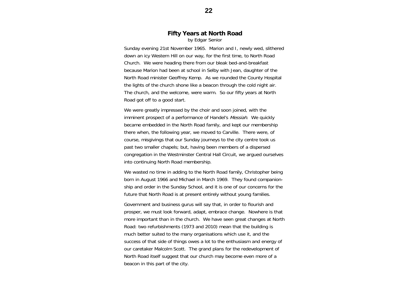#### **Fifty Years at North Road**  by Edgar Senior

Sunday evening 21st November 1965. Marion and I, newly wed, slithered down an icy Western Hill on our way, for the first time, to North Road Church. We were heading there from our bleak bed-and-breakfast because Marion had been at school in Selby with Jean, daughter of the North Road minister Geoffrey Kemp. As we rounded the County Hospital the lights of the church shone like a beacon through the cold night air. The church, and the welcome, were warm. So our fifty years at North Road got off to a good start.

We were greatly impressed by the choir and soon joined, with the imminent prospect of a performance of Handel's Messiah. We quickly became embedded in the North Road family, and kept our membership there when, the following year, we moved to Carville. There were, of course, misgivings that our Sunday journeys to the city centre took us past two smaller chapels; but, having been members of a dispersed congregation in the Westminster Central Hall Circuit, we argued ourselves into continuing North Road membership.

We wasted no time in adding to the North Road family, Christopher being born in August 1966 and Michael in March 1969. They found companionship and order in the Sunday School, and it is one of our concerns for the future that North Road is at present entirely without young families.

Government and business gurus will say that, in order to flourish and prosper, we must look forward, adapt, embrace change. Nowhere is that more important than in the church. We have seen great changes at North Road: two refurbishments (1973 and 2010) mean that the building is much better suited to the many organisations which use it, and the success of that side of things owes a lot to the enthusiasm and energy of our caretaker Malcolm Scott. The grand plans for the redevelopment of North Road itself suggest that our church may become even more of a beacon in this part of the city.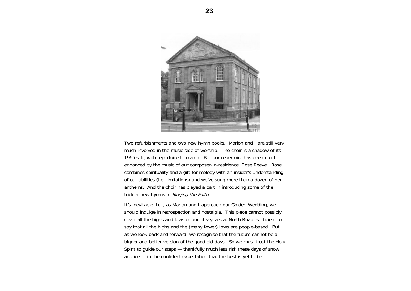

Two refurbishments and two new hymn books. Marion and I are still very much involved in the music side of worship. The choir is a shadow of its 1965 self, with repertoire to match. But our repertoire has been much enhanced by the music of our composer-in-residence, Rose Reeve. Rose combines spirituality and a gift for melody with an insider's understanding of our abilities (i.e. limitations) and we've sung more than a dozen of her anthems. And the choir has played a part in introducing some of the trickier new hymns in Singing the Faith.

It's inevitable that, as Marion and I approach our Golden Wedding, we should indulge in retrospection and nostalgia. This piece cannot possibly cover all the highs and lows of our fifty years at North Road: sufficient to say that all the highs and the (many fewer) lows are people-based. But, as we look back and forward, we recognise that the future cannot be a bigger and better version of the good old days. So we must trust the Holy Spirit to guide our steps — thankfully much less risk these days of snow and ice — in the confident expectation that the best is yet to be.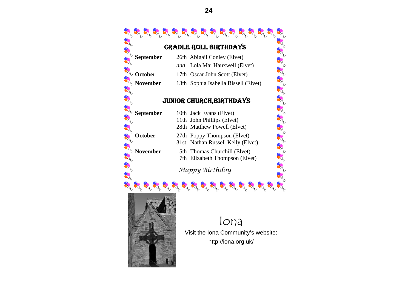

- *and* Lola Mai Hauxwell (Elvet)
- 17th Oscar John Scott (Elvet)

13th Sophia Isabella Bissell (Elvet)

#### JUNIOR CHURCH,BIRTHDAYS

10th Jack Evans (Elvet) 11th John Phillips (Elvet) 28th Matthew Powell (Elvet)

27th Poppy Thompson (Elvet)

31st Nathan Russell Kelly (Elvet)

5th Thomas Churchill (Elvet) 7th Elizabeth Thompson (Elvet)

*Happy Birthday* 



Iona Visit the Iona Community's website: http://iona.org.uk/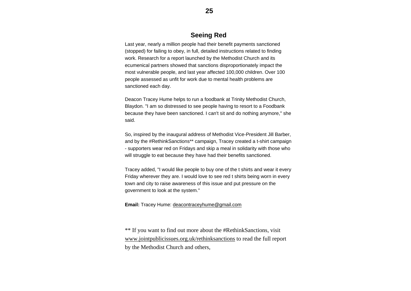#### **Seeing Red**

Last year, nearly a million people had their benefit payments sanctioned (stopped) for failing to obey, in full, detailed instructions related to finding work. Research for a report launched by the Methodist Church and its ecumenical partners showed that sanctions disproportionately impact the most vulnerable people, and last year affected 100,000 children. Over 100 people assessed as unfit for work due to mental health problems are sanctioned each day.

Deacon Tracey Hume helps to run a foodbank at Trinity Methodist Church, Blaydon. "I am so distressed to see people having to resort to a Foodbank because they have been sanctioned. I can't sit and do nothing anymore," she said.

So, inspired by the inaugural address of Methodist Vice-President Jill Barber, and by the #RethinkSanctions\*\* campaign, Tracey created a t-shirt campaign - supporters wear red on Fridays and skip a meal in solidarity with those who will struggle to eat because they have had their benefits sanctioned.

Tracey added, "I would like people to buy one of the t shirts and wear it every Friday wherever they are. I would love to see red t shirts being worn in every town and city to raise awareness of this issue and put pressure on the government to look at the system."

#### **Email:** Tracey Hume: deacontraceyhume@gmail.com

\*\* If you want to find out more about the #RethinkSanctions, visit www.jointpublicissues.org.uk/rethinksanctions to read the full report by the Methodist Church and others,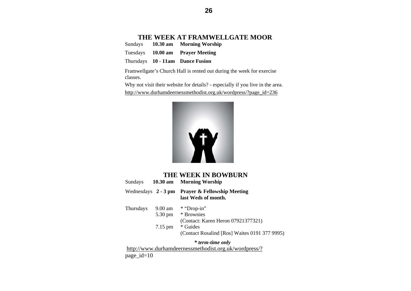#### **THE WEEK AT FRAMWELLGATE MOOR**

Sundays **10.30 am Morning Worship** 

Tuesdays **10.00 am Prayer Meeting** 

Thursdays **10 - 11am Dance Fusion** 

Framwellgate's Church Hall is rented out during the week for exercise classes.

Why not visit their website for details? - especially if you live in the area. http://www.durhamdeernessmethodist.org.uk/wordpress/?page\_id=236



| <b>THE WEEK IN BOWBURN</b><br><b>Morning Worship</b><br>Sundays<br>10.30 am |                      |                                                                          |  |  |
|-----------------------------------------------------------------------------|----------------------|--------------------------------------------------------------------------|--|--|
|                                                                             |                      | Wednesdays $2 - 3$ pm Prayer & Fellowship Meeting<br>last Weds of month. |  |  |
| Thursdays                                                                   | $9.00$ am<br>5.30 pm | * "Drop-in"<br>* Brownies<br>(Contact: Karen Heron 07921377321)          |  |  |
|                                                                             | $7.15 \text{ pm}$    | * Guides<br>(Contact Rosalind [Ros] Waites 0191 377 9995)                |  |  |
|                                                                             |                      | * term-time only                                                         |  |  |

 http://www.durhamdeernessmethodist.org.uk/wordpress/? page\_id=10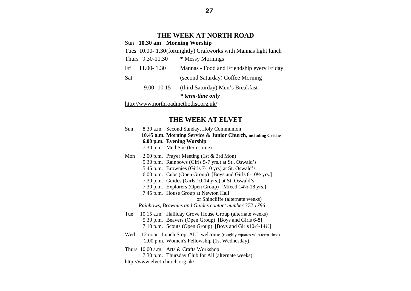# **THE WEEK AT NORTH ROAD**

|                                       |                    | Sun 10.30 am Morning Worship                                    |
|---------------------------------------|--------------------|-----------------------------------------------------------------|
|                                       |                    | Tues 10.00-1.30(fortnightly) Craftworks with Mannas light lunch |
|                                       | Thurs 9.30-11.30   | * Messy Mornings                                                |
|                                       | Fri $11.00 - 1.30$ | Mannas - Food and Friendship every Friday                       |
| Sat                                   |                    | (second Saturday) Coffee Morning                                |
|                                       | $9.00 - 10.15$     | (third Saturday) Men's Breakfast                                |
|                                       |                    | <i>*</i> term-time only                                         |
| http://www.northroadmethodist.org.uk/ |                    |                                                                 |

#### **THE WEEK AT ELVET**

| Sun | 8.30 a.m. Second Sunday, Holy Communion                         |
|-----|-----------------------------------------------------------------|
|     | 10.45 a.m. Morning Service & Junior Church, including Crèche    |
|     | 6.00 p.m. Evening Worship                                       |
|     | 7.30 p.m. MethSoc (term-time)                                   |
| Mon | 2.00 p.m. Prayer Meeting (1st & 3rd Mon)                        |
|     | 5.30 p.m. Rainbows (Girls 5-7 yrs.) at St Oswald's              |
|     | 5.45 p.m. Brownies (Girls 7-10 yrs) at St. Oswald's             |
|     | 6.00 p.m. Cubs (Open Group) [Boys and Girls 8-10½ yrs.]         |
|     | 7.30 p.m. Guides (Girls 10-14 yrs.) at St. Oswald's             |
|     | 7.30 p.m. Explorers (Open Group) [Mixed 14½-18 yrs.]            |
|     | 7.45 p.m. House Group at Newton Hall                            |
|     | or Shincliffe (alternate weeks)                                 |
|     | Rainbows, Brownies and Guides contact number 372 1786           |
| Tue | 10.15 a.m. Halliday Grove House Group (alternate weeks)         |
|     | 5.30 p.m. Beavers (Open Group) [Boys and Girls 6-8]             |
|     | 7.10 p.m. Scouts (Open Group) [Boys and Girls10½-14½]           |
| Wed | 12 noon Lunch Stop ALL welcome (roughly equates with term-time) |
|     | 2.00 p.m. Women's Fellowship (1st Wednesday)                    |
|     | Thurs $10.00$ a.m. Arts $&$ Crafts Workshop                     |
|     | 7.30 p.m. Thursday Club for All (alternate weeks)               |
|     | http://www.elvet-church.org.uk/                                 |